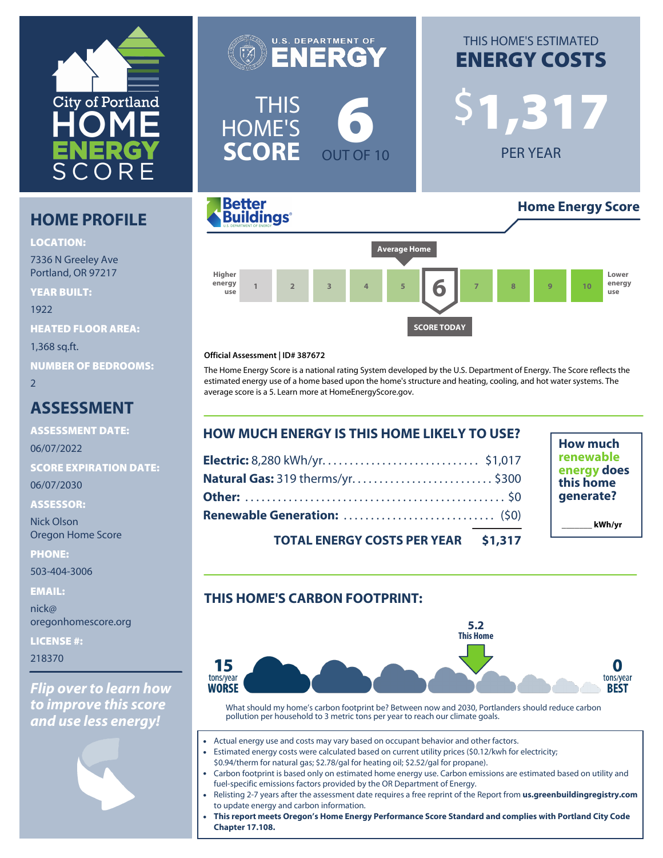

# **HOME PROFILE**

**LOCATION:**

7336 N Greeley Ave Portland, OR 97217

**YEAR BUILT:** 1922 **HEATED FLOOR AREA:** 1,368 sq.ft. **NUMBER OF BEDROOMS:**  $\overline{2}$ 

# **ASSESSMENT**

**ASSESSMENT DATE:** 06/07/2022 **SCORE EXPIRATION DATE:** 06/07/2030

**ASSESSOR:**

Nick Olson Oregon Home Score

**PHONE:**

503-404-3006

**EMAIL:**

nick@ oregonhomescore.org

**LICENSE #:**

218370

*Flip over to learn how to improve this score and use less energy!*





# **ENERGY COSTS** \$**1,317**

PER YEAR



#### **Official Assessment | ID# 387672**

The Home Energy Score is a national rating System developed by the U.S. Department of Energy. The Score reflects the estimated energy use of a home based upon the home's structure and heating, cooling, and hot water systems. The average score is a 5. Learn more at [HomeEnergyScore.gov.](https://homeenergyscore.gov)

**SCORE TODAY**

| <b>HOW MUCH ENERGY IS THIS HOME LIKELY TO USE?</b> |  |
|----------------------------------------------------|--|
|                                                    |  |
| Natural Gas: 319 therms/yr\$300                    |  |
|                                                    |  |
|                                                    |  |
| TOTAL ENERGY COSTS DER VEAR \$1 317                |  |

**How much renewable energy does this home generate? \_\_\_\_\_\_\_ kWh/yr**

**TOTAL ENERGY COSTS PER YEAR \$1,317**

## **THIS HOME'S CARBON FOOTPRINT:**



What should my home's carbon footprint be? Between now and 2030, Portlanders should reduce carbon pollution per household to 3 metric tons per year to reach our climate goals.

- Actual energy use and costs may vary based on occupant behavior and other factors.
- Estimated energy costs were calculated based on current utility prices (\$0.12/kwh for electricity; \$0.94/therm for natural gas; \$2.78/gal for heating oil; \$2.52/gal for propane).
- Carbon footprint is based only on estimated home energy use. Carbon emissions are estimated based on utility and fuel-specific emissions factors provided by the OR Department of Energy.
- Relisting 2-7 years after the assessment date requires a free reprint of the Report from **[us.greenbuildingregistry.com](https://us.greenbuildingregistry.com)** to update energy and carbon information.
- **This report meets Oregon's Home Energy Performance Score Standard and complies with Portland City Code Chapter 17.108.**